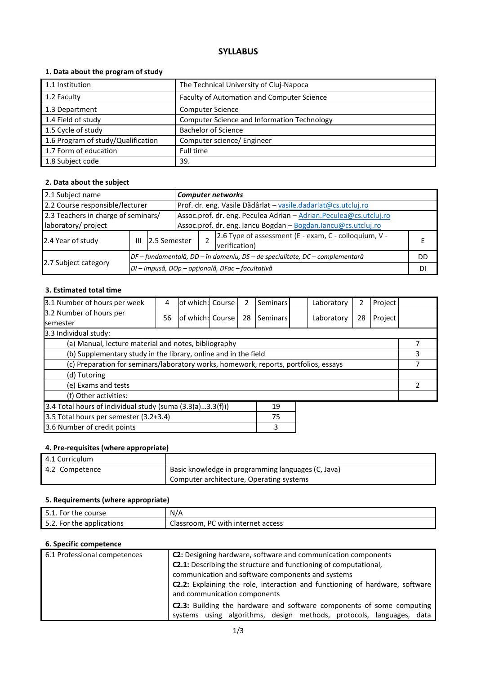# **SYLLABUS**

## **1. Data about the program of study**

| 1.1 Institution                    | The Technical University of Cluj-Napoca     |
|------------------------------------|---------------------------------------------|
|                                    |                                             |
| 1.2 Faculty                        | Faculty of Automation and Computer Science  |
| 1.3 Department                     | <b>Computer Science</b>                     |
| 1.4 Field of study                 | Computer Science and Information Technology |
| 1.5 Cycle of study                 | <b>Bachelor of Science</b>                  |
| 1.6 Program of study/Qualification | Computer science/ Engineer                  |
| 1.7 Form of education              | Full time                                   |
| 1.8 Subject code                   | 39.                                         |

## **2. Data about the subject**

| 2.1 Subject name                                                                                         | <b>Computer networks</b> |                                                                              |               |  |                                                       |  |
|----------------------------------------------------------------------------------------------------------|--------------------------|------------------------------------------------------------------------------|---------------|--|-------------------------------------------------------|--|
| 2.2 Course responsible/lecturer<br>Prof. dr. eng. Vasile Dădârlat - vasile.dadarlat@cs.utcluj.ro         |                          |                                                                              |               |  |                                                       |  |
| 2.3 Teachers in charge of seminars/<br>Assoc.prof. dr. eng. Peculea Adrian - Adrian.Peculea@cs.utcluj.ro |                          |                                                                              |               |  |                                                       |  |
| Assoc.prof. dr. eng. Iancu Bogdan - Bogdan.lancu@cs.utcluj.ro<br>laboratory/ project                     |                          |                                                                              |               |  |                                                       |  |
| 2.4 Year of study                                                                                        | Ш                        | 2.5 Semester                                                                 | verification) |  | 2.6 Type of assessment (E - exam, C - colloquium, V - |  |
|                                                                                                          |                          | DF – fundamentală, DD – în domeniu, DS – de specialitate, DC – complementară |               |  | DD                                                    |  |
| 2.7 Subject category                                                                                     |                          | DI - Impusă, DOp - opțională, DFac - facultativă                             |               |  |                                                       |  |

#### **3. Estimated total time**

| 3.1 Number of hours per week                                                         | 4  | lof which:l Course |  | 2  | Seminars | Laboratory | 2  | Project |  |
|--------------------------------------------------------------------------------------|----|--------------------|--|----|----------|------------|----|---------|--|
| 3.2 Number of hours per<br><b>semester</b>                                           | 56 | of which: Course   |  | 28 | Seminars | Laboratory | 28 | Project |  |
| 3.3 Individual study:                                                                |    |                    |  |    |          |            |    |         |  |
| (a) Manual, lecture material and notes, bibliography                                 |    |                    |  |    |          |            |    |         |  |
| (b) Supplementary study in the library, online and in the field                      |    |                    |  |    |          | 3          |    |         |  |
| (c) Preparation for seminars/laboratory works, homework, reports, portfolios, essays |    |                    |  |    |          |            |    |         |  |
| (d) Tutoring                                                                         |    |                    |  |    |          |            |    |         |  |
| (e) Exams and tests                                                                  |    |                    |  |    |          |            |    |         |  |
| (f) Other activities:                                                                |    |                    |  |    |          |            |    |         |  |
| 3.4 Total hours of individual study (suma (3.3(a)3.3(f)))<br>19                      |    |                    |  |    |          |            |    |         |  |
| 3.5 Total hours per semester (3.2+3.4)<br>75                                         |    |                    |  |    |          |            |    |         |  |
| 3.6 Number of credit points                                                          |    |                    |  |    | 3        |            |    |         |  |

## **4. Pre-requisites (where appropriate)**

| 4.1 Curriculum |                                                    |
|----------------|----------------------------------------------------|
| 4.2 Competence | Basic knowledge in programming languages (C, Java) |
|                | Computer architecture, Operating systems           |

## **5. Requirements (where appropriate)**

| 5.1. For the course       | N/A                                     |
|---------------------------|-----------------------------------------|
| 5.2. For the applications | . PC with internet access<br>Classroom. |

#### **6. Specific competence**

| 6.1 Professional competences | C2: Designing hardware, software and communication components                       |  |  |  |  |  |
|------------------------------|-------------------------------------------------------------------------------------|--|--|--|--|--|
|                              | <b>C2.1:</b> Describing the structure and functioning of computational,             |  |  |  |  |  |
|                              | communication and software components and systems                                   |  |  |  |  |  |
|                              | <b>C2.2:</b> Explaining the role, interaction and functioning of hardware, software |  |  |  |  |  |
|                              | and communication components                                                        |  |  |  |  |  |
|                              | <b>C2.3:</b> Building the hardware and software components of some computing        |  |  |  |  |  |
|                              | systems using algorithms, design methods, protocols, languages, data                |  |  |  |  |  |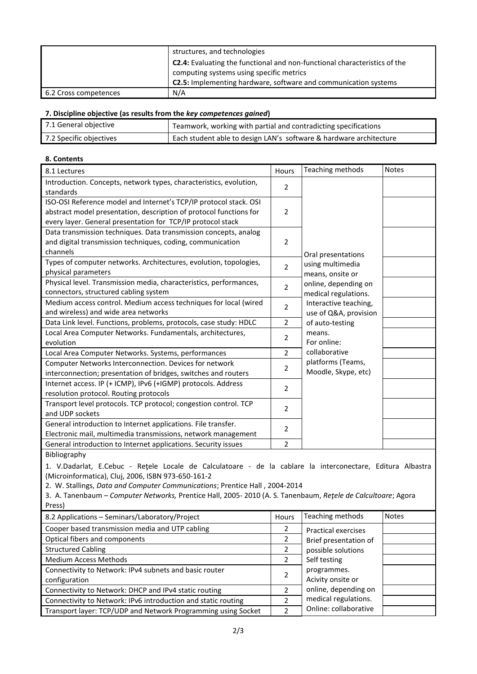|                       | structures, and technologies                                                     |
|-----------------------|----------------------------------------------------------------------------------|
|                       | $\sim$ C2.4: Evaluating the functional and non-functional characteristics of the |
|                       | computing systems using specific metrics                                         |
|                       | C2.5: Implementing hardware, software and communication systems                  |
| 6.2 Cross competences | N/A                                                                              |

#### **7. Discipline objective (as results from the** *key competences gained***)**

| 7.1 General objective   | Teamwork, working with partial and contradicting specifications    |
|-------------------------|--------------------------------------------------------------------|
| 7.2 Specific objectives | Each student able to design LAN's software & hardware architecture |

#### **8. Contents**

| 8.1 Lectures                                                       | Hours          | Teaching methods      | <b>Notes</b> |
|--------------------------------------------------------------------|----------------|-----------------------|--------------|
| Introduction. Concepts, network types, characteristics, evolution, |                |                       |              |
| standards                                                          | 2              |                       |              |
| ISO-OSI Reference model and Internet's TCP/IP protocol stack. OSI  |                |                       |              |
| abstract model presentation, description of protocol functions for | 2              |                       |              |
| every layer. General presentation for TCP/IP protocol stack        |                |                       |              |
| Data transmission techniques. Data transmission concepts, analog   |                |                       |              |
| and digital transmission techniques, coding, communication         | 2              |                       |              |
| channels                                                           |                | Oral presentations    |              |
| Types of computer networks. Architectures, evolution, topologies,  | $\overline{2}$ | using multimedia      |              |
| physical parameters                                                |                | means, onsite or      |              |
| Physical level. Transmission media, characteristics, performances, | $\overline{2}$ | online, depending on  |              |
| connectors, structured cabling system                              |                | medical regulations.  |              |
| Medium access control. Medium access techniques for local (wired   | $\overline{2}$ | Interactive teaching, |              |
| and wireless) and wide area networks                               |                | use of Q&A, provision |              |
| Data Link level. Functions, problems, protocols, case study: HDLC  | $\overline{2}$ | of auto-testing       |              |
| Local Area Computer Networks. Fundamentals, architectures,         | 2              | means.                |              |
| evolution                                                          |                | For online:           |              |
| Local Area Computer Networks. Systems, performances                | $\overline{2}$ | collaborative         |              |
| Computer Networks Interconnection. Devices for network             | 2              | platforms (Teams,     |              |
| interconnection; presentation of bridges, switches and routers     |                | Moodle, Skype, etc)   |              |
| Internet access. IP (+ ICMP), IPv6 (+IGMP) protocols. Address      | 2              |                       |              |
| resolution protocol. Routing protocols                             |                |                       |              |
| Transport level protocols. TCP protocol; congestion control. TCP   | 2              |                       |              |
| and UDP sockets                                                    |                |                       |              |
| General introduction to Internet applications. File transfer.      | 2              |                       |              |
| Electronic mail, multimedia transmissions, network management      |                |                       |              |
| General introduction to Internet applications. Security issues     | $\overline{2}$ |                       |              |

Bibliography

1. V.Dadarlat, E.Cebuc - Reţele Locale de Calculatoare - de la cablare la interconectare, Editura Albastra (Microinformatica), Cluj, 2006, ISBN 973-650-161-2

2. W. Stallings, *Data and Computer Communications*; Prentice Hall , 2004-2014

3. A. Tanenbaum – *Computer Networks,* Prentice Hall, 2005- 2010 (A. S. Tanenbaum, *Reţele de Calcultoare*; Agora Press)

| 8.2 Applications - Seminars/Laboratory/Project                | <b>Hours</b>   | Teaching methods           | <b>Notes</b> |
|---------------------------------------------------------------|----------------|----------------------------|--------------|
| Cooper based transmission media and UTP cabling               | 2              | <b>Practical exercises</b> |              |
| Optical fibers and components                                 |                | Brief presentation of      |              |
| <b>Structured Cabling</b>                                     | 2              | possible solutions         |              |
| <b>Medium Access Methods</b>                                  | 2              | Self testing               |              |
| Connectivity to Network: IPv4 subnets and basic router        | 2              | programmes.                |              |
| configuration                                                 |                | Acivity onsite or          |              |
| Connectivity to Network: DHCP and IPv4 static routing         | 2              | online, depending on       |              |
| Connectivity to Network: IPv6 introduction and static routing | $\mathfrak{p}$ | medical regulations.       |              |
| Transport layer: TCP/UDP and Network Programming using Socket | ຳ              | Online: collaborative      |              |